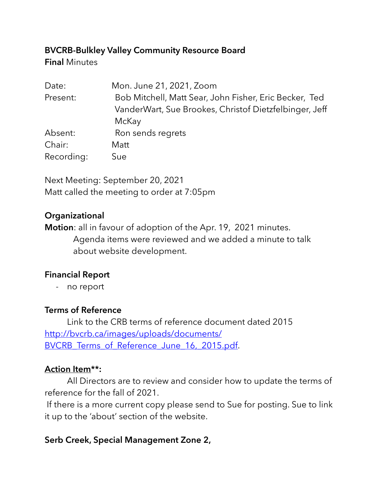## **BVCRB-Bulkley Valley Community Resource Board**

**Final** Minutes

| Date:      | Mon. June 21, 2021, Zoom                               |
|------------|--------------------------------------------------------|
| Present:   | Bob Mitchell, Matt Sear, John Fisher, Eric Becker, Ted |
|            | VanderWart, Sue Brookes, Christof Dietzfelbinger, Jeff |
|            | McKay                                                  |
| Absent:    | Ron sends regrets                                      |
| Chair:     | Matt                                                   |
| Recording: | Sue                                                    |

Next Meeting: September 20, 2021 Matt called the meeting to order at 7:05pm

## **Organizational**

**Motion**: all in favour of adoption of the Apr. 19, 2021 minutes. Agenda items were reviewed and we added a minute to talk about website development.

# **Financial Report**

- no report

# **Terms of Reference**

 Link to the CRB terms of reference document dated 2015 http://bvcrb.ca/images/uploads/documents/ [BVCRB\\_Terms\\_of\\_Reference\\_June\\_16,\\_2015.pdf](http://bvcrb.ca/images/uploads/documents/BVCRB_Terms_of_Reference_June_16,_2015.pdf).

## **Action Item\*\*:**

 All Directors are to review and consider how to update the terms of reference for the fall of 2021.

 If there is a more current copy please send to Sue for posting. Sue to link it up to the 'about' section of the website.

# **Serb Creek, Special Management Zone 2,**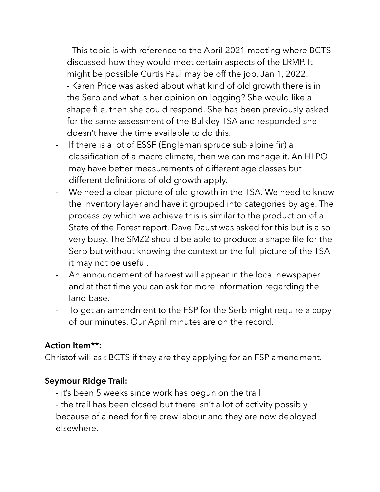- This topic is with reference to the April 2021 meeting where BCTS discussed how they would meet certain aspects of the LRMP. It might be possible Curtis Paul may be off the job. Jan 1, 2022. - Karen Price was asked about what kind of old growth there is in the Serb and what is her opinion on logging? She would like a shape file, then she could respond. She has been previously asked for the same assessment of the Bulkley TSA and responded she doesn't have the time available to do this.

- If there is a lot of ESSF (Engleman spruce sub alpine fir) a classification of a macro climate, then we can manage it. An HLPO may have better measurements of different age classes but different definitions of old growth apply.
- We need a clear picture of old growth in the TSA. We need to know the inventory layer and have it grouped into categories by age. The process by which we achieve this is similar to the production of a State of the Forest report. Dave Daust was asked for this but is also very busy. The SMZ2 should be able to produce a shape file for the Serb but without knowing the context or the full picture of the TSA it may not be useful.
- An announcement of harvest will appear in the local newspaper and at that time you can ask for more information regarding the land base.
- To get an amendment to the FSP for the Serb might require a copy of our minutes. Our April minutes are on the record.

## **Action Item\*\*:**

Christof will ask BCTS if they are they applying for an FSP amendment.

### **Seymour Ridge Trail:**

- it's been 5 weeks since work has begun on the trail

- the trail has been closed but there isn't a lot of activity possibly because of a need for fire crew labour and they are now deployed elsewhere.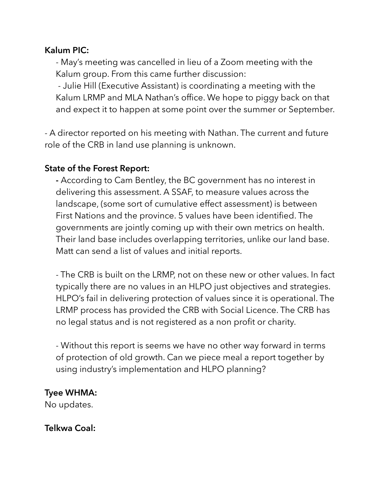#### **Kalum PIC:**

- May's meeting was cancelled in lieu of a Zoom meeting with the Kalum group. From this came further discussion:

 - Julie Hill (Executive Assistant) is coordinating a meeting with the Kalum LRMP and MLA Nathan's office. We hope to piggy back on that and expect it to happen at some point over the summer or September.

- A director reported on his meeting with Nathan. The current and future role of the CRB in land use planning is unknown.

#### **State of the Forest Report:**

**-** According to Cam Bentley, the BC government has no interest in delivering this assessment. A SSAF, to measure values across the landscape, (some sort of cumulative effect assessment) is between First Nations and the province. 5 values have been identified. The governments are jointly coming up with their own metrics on health. Their land base includes overlapping territories, unlike our land base. Matt can send a list of values and initial reports.

- The CRB is built on the LRMP, not on these new or other values. In fact typically there are no values in an HLPO just objectives and strategies. HLPO's fail in delivering protection of values since it is operational. The LRMP process has provided the CRB with Social Licence. The CRB has no legal status and is not registered as a non profit or charity.

- Without this report is seems we have no other way forward in terms of protection of old growth. Can we piece meal a report together by using industry's implementation and HLPO planning?

#### **Tyee WHMA:**

No updates.

**Telkwa Coal:**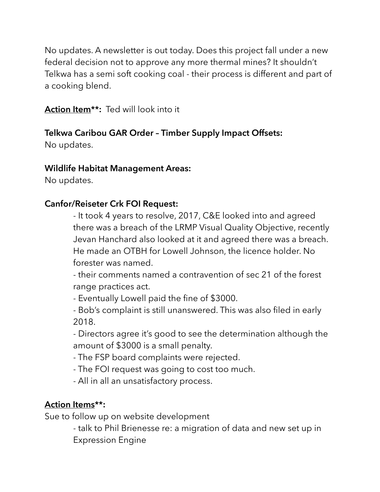No updates. A newsletter is out today. Does this project fall under a new federal decision not to approve any more thermal mines? It shouldn't Telkwa has a semi soft cooking coal - their process is different and part of a cooking blend.

**Action Item\*\*:** Ted will look into it

## **Telkwa Caribou GAR Order – Timber Supply Impact Offsets:**

No updates.

### **Wildlife Habitat Management Areas:**

No updates.

### **Canfor/Reiseter Crk FOI Request:**

- It took 4 years to resolve, 2017, C&E looked into and agreed there was a breach of the LRMP Visual Quality Objective, recently Jevan Hanchard also looked at it and agreed there was a breach. He made an OTBH for Lowell Johnson, the licence holder. No forester was named.

- their comments named a contravention of sec 21 of the forest range practices act.

- Eventually Lowell paid the fine of \$3000.

- Bob's complaint is still unanswered. This was also filed in early 2018.

- Directors agree it's good to see the determination although the amount of \$3000 is a small penalty.

- The FSP board complaints were rejected.

- The FOI request was going to cost too much.

- All in all an unsatisfactory process.

## **Action Items\*\*:**

Sue to follow up on website development

- talk to Phil Brienesse re: a migration of data and new set up in Expression Engine